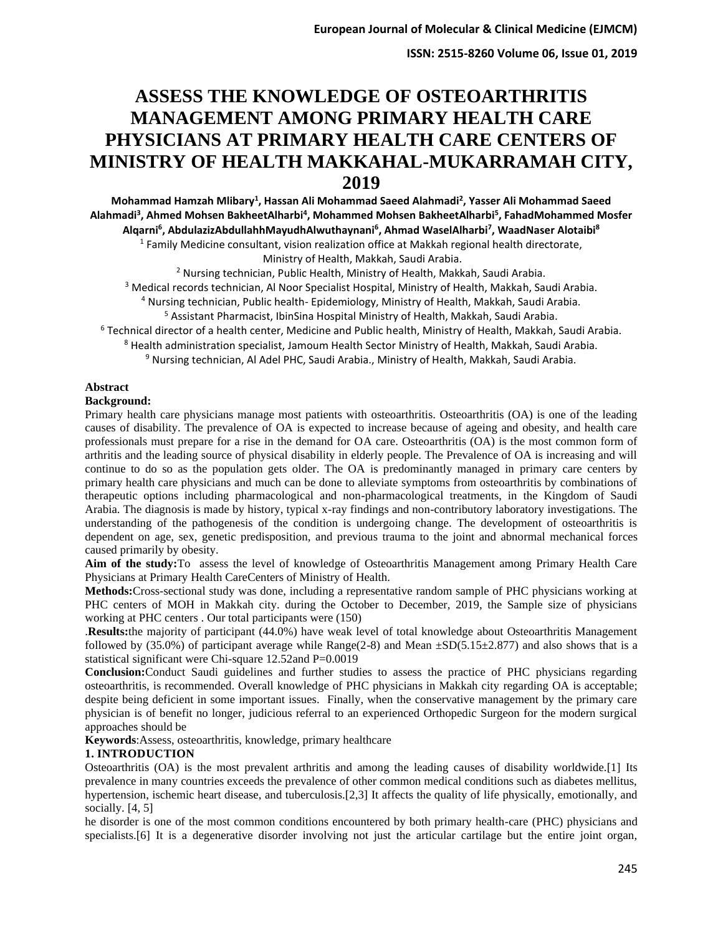**ISSN: 2515-8260 Volume 06, Issue 01, 2019**

# **ASSESS THE KNOWLEDGE OF OSTEOARTHRITIS MANAGEMENT AMONG PRIMARY HEALTH CARE PHYSICIANS AT PRIMARY HEALTH CARE CENTERS OF MINISTRY OF HEALTH MAKKAHAL-MUKARRAMAH CITY, 2019**

**Mohammad Hamzah Mlibary<sup>1</sup> , Hassan Ali Mohammad Saeed Alahmadi<sup>2</sup> , Yasser Ali Mohammad Saeed Alahmadi<sup>3</sup> , Ahmed Mohsen BakheetAlharbi<sup>4</sup> , Mohammed Mohsen BakheetAlharbi<sup>5</sup> , FahadMohammed Mosfer Alqarni<sup>6</sup> , AbdulazizAbdullahhMayudhAlwuthaynani<sup>6</sup> , Ahmad WaselAlharbi<sup>7</sup> , WaadNaser Alotaibi<sup>8</sup>** <sup>1</sup> Family Medicine consultant, vision realization office at Makkah regional health directorate,

Ministry of Health, Makkah, Saudi Arabia.

<sup>2</sup> Nursing technician, Public Health, Ministry of Health, Makkah, Saudi Arabia.

<sup>3</sup> Medical records technician, Al Noor Specialist Hospital, Ministry of Health, Makkah, Saudi Arabia.

<sup>4</sup> Nursing technician, Public health- Epidemiology, Ministry of Health, Makkah, Saudi Arabia.

<sup>5</sup> Assistant Pharmacist, IbinSina Hospital Ministry of Health, Makkah, Saudi Arabia.

<sup>6</sup> Technical director of a health center, Medicine and Public health, Ministry of Health, Makkah, Saudi Arabia.

<sup>8</sup> Health administration specialist, Jamoum Health Sector Ministry of Health, Makkah, Saudi Arabia.

<sup>9</sup> Nursing technician, Al Adel PHC, Saudi Arabia., Ministry of Health, Makkah, Saudi Arabia.

#### **Abstract**

#### **Background:**

Primary health care physicians manage most patients with osteoarthritis. Osteoarthritis (OA) is one of the leading causes of disability. The prevalence of OA is expected to increase because of ageing and obesity, and health care professionals must prepare for a rise in the demand for OA care. Osteoarthritis (OA) is the most common form of arthritis and the leading source of physical disability in elderly people. The Prevalence of OA is increasing and will continue to do so as the population gets older. The OA is predominantly managed in primary care centers by primary health care physicians and much can be done to alleviate symptoms from osteoarthritis by combinations of therapeutic options including pharmacological and non-pharmacological treatments, in the Kingdom of Saudi Arabia. The diagnosis is made by history, typical x-ray findings and non-contributory laboratory investigations. The understanding of the pathogenesis of the condition is undergoing change. The development of osteoarthritis is dependent on age, sex, genetic predisposition, and previous trauma to the joint and abnormal mechanical forces caused primarily by obesity.

**Aim of the study:**To assess the level of knowledge of Osteoarthritis Management among Primary Health Care Physicians at Primary Health CareCenters of Ministry of Health.

**Methods:**Cross-sectional study was done, including a representative random sample of PHC physicians working at PHC centers of MOH in Makkah city. during the October to December, 2019, the Sample size of physicians working at PHC centers . Our total participants were (150)

.**Results:**the majority of participant (44.0%) have weak level of total knowledge about Osteoarthritis Management followed by (35.0%) of participant average while  $Range(2-8)$  and Mean  $\pm SD(5.15\pm 2.877)$  and also shows that is a statistical significant were Chi-square 12.52and P=0.0019

**Conclusion:**Conduct Saudi guidelines and further studies to assess the practice of PHC physicians regarding osteoarthritis, is recommended. Overall knowledge of PHC physicians in Makkah city regarding OA is acceptable; despite being deficient in some important issues. Finally, when the conservative management by the primary care physician is of benefit no longer, judicious referral to an experienced Orthopedic Surgeon for the modern surgical approaches should be

**Keywords**:Assess, osteoarthritis, knowledge, primary healthcare

## **1. INTRODUCTION**

Osteoarthritis (OA) is the most prevalent arthritis and among the leading causes of disability worldwide.[1] Its prevalence in many countries exceeds the prevalence of other common medical conditions such as diabetes mellitus, hypertension, ischemic heart disease, and tuberculosis.[2,3] It affects the quality of life physically, emotionally, and socially. [4, 5]

he disorder is one of the most common conditions encountered by both primary health-care (PHC) physicians and specialists. [6] It is a degenerative disorder involving not just the articular cartilage but the entire joint organ,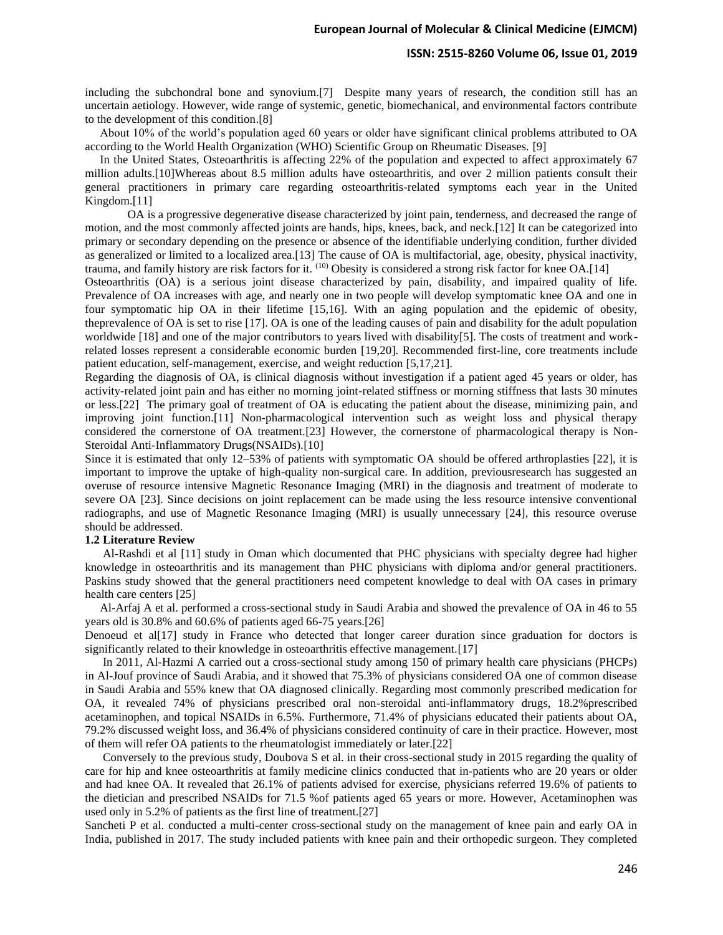#### **ISSN: 2515-8260 Volume 06, Issue 01, 2019**

including the subchondral bone and synovium.[7] Despite many years of research, the condition still has an uncertain aetiology. However, wide range of systemic, genetic, biomechanical, and environmental factors contribute to the development of this condition.[8]

 About 10% of the world's population aged 60 years or older have significant clinical problems attributed to OA according to the World Health Organization (WHO) Scientific Group on Rheumatic Diseases. [9]

 In the United States, Osteoarthritis is affecting 22% of the population and expected to affect approximately 67 million adults.[10]Whereas about 8.5 million adults have osteoarthritis, and over 2 million patients consult their general practitioners in primary care regarding osteoarthritis-related symptoms each year in the United Kingdom.[11]

OA is a progressive degenerative disease characterized by joint pain, tenderness, and decreased the range of motion, and the most commonly affected joints are hands, hips, knees, back, and neck.[12] It can be categorized into primary or secondary depending on the presence or absence of the identifiable underlying condition, further divided as generalized or limited to a localized area.[13] The cause of OA is multifactorial, age, obesity, physical inactivity, trauma, and family history are risk factors for it.  $(10)$  Obesity is considered a strong risk factor for knee OA.[14]

Osteoarthritis (OA) is a serious joint disease characterized by pain, disability, and impaired quality of life. Prevalence of OA increases with age, and nearly one in two people will develop symptomatic knee OA and one in four symptomatic hip OA in their lifetime [15,16]. With an aging population and the epidemic of obesity, theprevalence of OA is set to rise [17]. OA is one of the leading causes of pain and disability for the adult population worldwide [18] and one of the major contributors to years lived with disability[5]. The costs of treatment and workrelated losses represent a considerable economic burden [19,20]. Recommended first-line, core treatments include patient education, self-management, exercise, and weight reduction [5,17,21].

Regarding the diagnosis of OA, is clinical diagnosis without investigation if a patient aged 45 years or older, has activity-related joint pain and has either no morning joint-related stiffness or morning stiffness that lasts 30 minutes or less.[22] The primary goal of treatment of OA is educating the patient about the disease, minimizing pain, and improving joint function.[11] Non-pharmacological intervention such as weight loss and physical therapy considered the cornerstone of OA treatment.[23] However, the cornerstone of pharmacological therapy is Non-Steroidal Anti-Inflammatory Drugs(NSAIDs).[10]

Since it is estimated that only 12–53% of patients with symptomatic OA should be offered arthroplasties [22], it is important to improve the uptake of high-quality non-surgical care. In addition, previousresearch has suggested an overuse of resource intensive Magnetic Resonance Imaging (MRI) in the diagnosis and treatment of moderate to severe OA [23]. Since decisions on joint replacement can be made using the less resource intensive conventional radiographs, and use of Magnetic Resonance Imaging (MRI) is usually unnecessary [24], this resource overuse should be addressed.

#### **1.2 Literature Review**

 Al-Rashdi et al [11] study in Oman which documented that PHC physicians with specialty degree had higher knowledge in osteoarthritis and its management than PHC physicians with diploma and/or general practitioners. Paskins study showed that the general practitioners need competent knowledge to deal with OA cases in primary health care centers [25]

 Al-Arfaj A et al. performed a cross-sectional study in Saudi Arabia and showed the prevalence of OA in 46 to 55 years old is 30.8% and 60.6% of patients aged 66-75 years.[26]

Denoeud et al[17] study in France who detected that longer career duration since graduation for doctors is significantly related to their knowledge in osteoarthritis effective management.<sup>[17]</sup>

 In 2011, Al-Hazmi A carried out a cross-sectional study among 150 of primary health care physicians (PHCPs) in Al-Jouf province of Saudi Arabia, and it showed that 75.3% of physicians considered OA one of common disease in Saudi Arabia and 55% knew that OA diagnosed clinically. Regarding most commonly prescribed medication for OA, it revealed 74% of physicians prescribed oral non-steroidal anti-inflammatory drugs, 18.2%prescribed acetaminophen, and topical NSAIDs in 6.5%. Furthermore, 71.4% of physicians educated their patients about OA, 79.2% discussed weight loss, and 36.4% of physicians considered continuity of care in their practice. However, most of them will refer OA patients to the rheumatologist immediately or later.[22]

 Conversely to the previous study, Doubova S et al. in their cross-sectional study in 2015 regarding the quality of care for hip and knee osteoarthritis at family medicine clinics conducted that in-patients who are 20 years or older and had knee OA. It revealed that 26.1% of patients advised for exercise, physicians referred 19.6% of patients to the dietician and prescribed NSAIDs for 71.5 %of patients aged 65 years or more. However, Acetaminophen was used only in 5.2% of patients as the first line of treatment.[27]

Sancheti P et al. conducted a multi-center cross-sectional study on the management of knee pain and early OA in India, published in 2017. The study included patients with knee pain and their orthopedic surgeon. They completed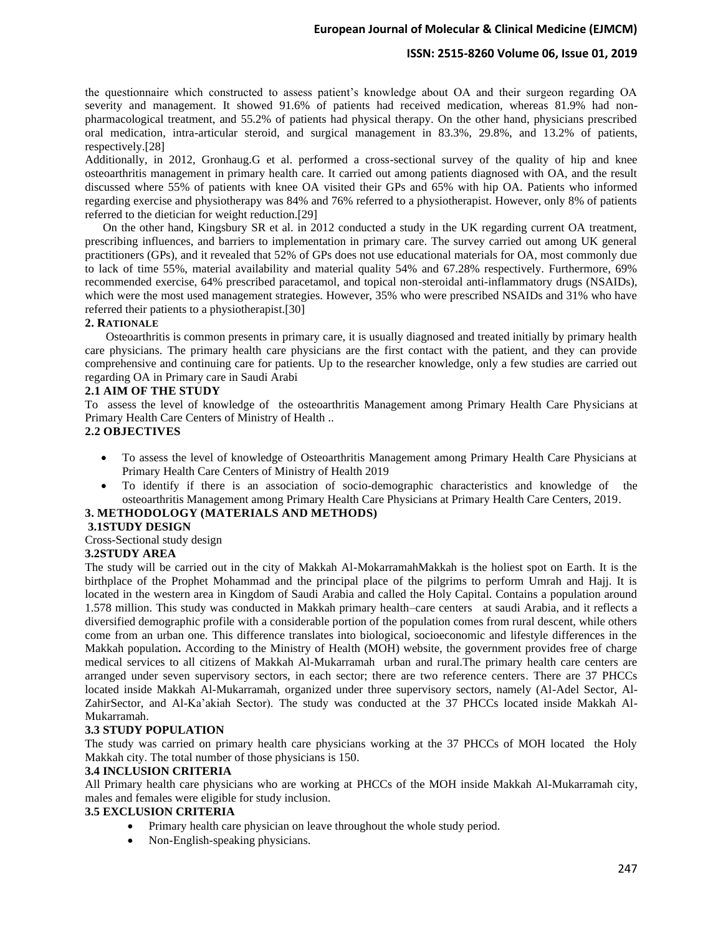## **ISSN: 2515-8260 Volume 06, Issue 01, 2019**

the questionnaire which constructed to assess patient's knowledge about OA and their surgeon regarding OA severity and management. It showed 91.6% of patients had received medication, whereas 81.9% had nonpharmacological treatment, and 55.2% of patients had physical therapy. On the other hand, physicians prescribed oral medication, intra-articular steroid, and surgical management in 83.3%, 29.8%, and 13.2% of patients, respectively.[28]

Additionally, in 2012, Gronhaug.G et al. performed a cross-sectional survey of the quality of hip and knee osteoarthritis management in primary health care. It carried out among patients diagnosed with OA, and the result discussed where 55% of patients with knee OA visited their GPs and 65% with hip OA. Patients who informed regarding exercise and physiotherapy was 84% and 76% referred to a physiotherapist. However, only 8% of patients referred to the dietician for weight reduction.[29]

 On the other hand, Kingsbury SR et al. in 2012 conducted a study in the UK regarding current OA treatment, prescribing influences, and barriers to implementation in primary care. The survey carried out among UK general practitioners (GPs), and it revealed that 52% of GPs does not use educational materials for OA, most commonly due to lack of time 55%, material availability and material quality 54% and 67.28% respectively. Furthermore, 69% recommended exercise, 64% prescribed paracetamol, and topical non-steroidal anti-inflammatory drugs (NSAIDs), which were the most used management strategies. However, 35% who were prescribed NSAIDs and 31% who have referred their patients to a physiotherapist.[30]

#### **2. RATIONALE**

 Osteoarthritis is common presents in primary care, it is usually diagnosed and treated initially by primary health care physicians. The primary health care physicians are the first contact with the patient, and they can provide comprehensive and continuing care for patients. Up to the researcher knowledge, only a few studies are carried out regarding OA in Primary care in Saudi Arabi

#### **2.1 AIM OF THE STUDY**

To assess the level of knowledge of the osteoarthritis Management among Primary Health Care Physicians at Primary Health Care Centers of Ministry of Health ..

## **2.2 OBJECTIVES**

- To assess the level of knowledge of Osteoarthritis Management among Primary Health Care Physicians at Primary Health Care Centers of Ministry of Health 2019
- To identify if there is an association of socio-demographic characteristics and knowledge of the osteoarthritis Management among Primary Health Care Physicians at Primary Health Care Centers, 2019.

## **3. METHODOLOGY (MATERIALS AND METHODS)**

#### **3.1STUDY DESIGN**

Cross-Sectional study design

#### **3.2STUDY AREA**

The study will be carried out in the city of Makkah Al-MokarramahMakkah is the holiest spot on Earth. It is the birthplace of the Prophet Mohammad and the principal place of the pilgrims to perform Umrah and Hajj. It is located in the western area in Kingdom of Saudi Arabia and called the Holy Capital. Contains a population around 1.578 million. This study was conducted in Makkah primary health–care centers at saudi Arabia, and it reflects a diversified demographic profile with a considerable portion of the population comes from rural descent, while others come from an urban one. This difference translates into biological, socioeconomic and lifestyle differences in the Makkah population**.** According to the Ministry of Health (MOH) website, the government provides free of charge medical services to all citizens of Makkah Al-Mukarramah urban and rural.The primary health care centers are arranged under seven supervisory sectors, in each sector; there are two reference centers. There are 37 PHCCs located inside Makkah Al-Mukarramah, organized under three supervisory sectors, namely (Al-Adel Sector, Al-ZahirSector, and Al-Ka'akiah Sector). The study was conducted at the 37 PHCCs located inside Makkah Al-Mukarramah.

#### **3.3 STUDY POPULATION**

The study was carried on primary health care physicians working at the 37 PHCCs of MOH located the Holy Makkah city. The total number of those physicians is 150.

#### **3.4 INCLUSION CRITERIA**

All Primary health care physicians who are working at PHCCs of the MOH inside Makkah Al-Mukarramah city, males and females were eligible for study inclusion.

### **3.5 EXCLUSION CRITERIA**

- Primary health care physician on leave throughout the whole study period.
- Non-English-speaking physicians.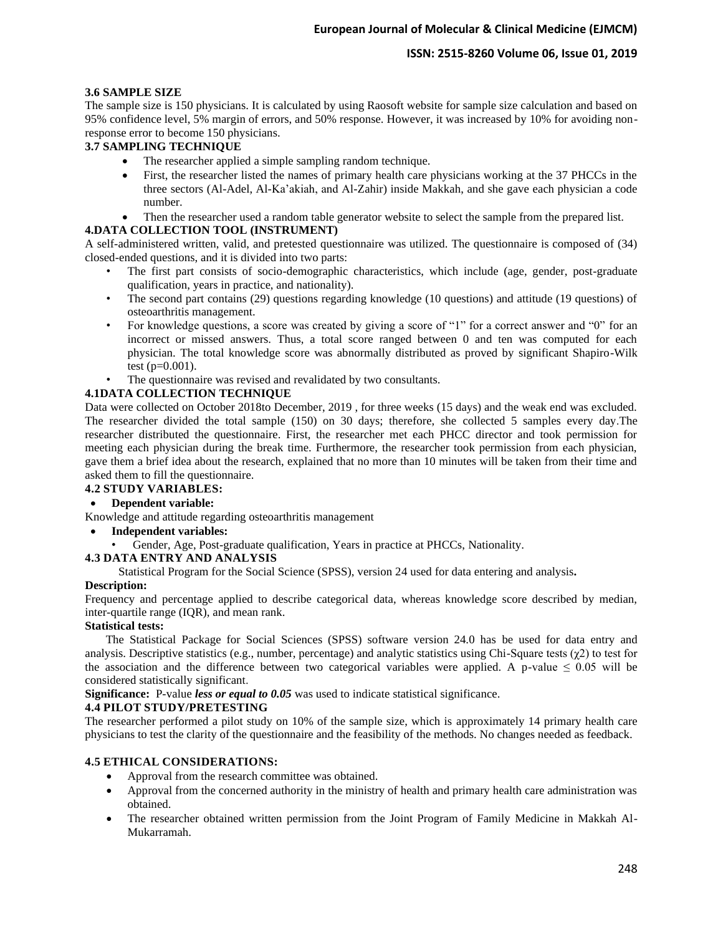## **ISSN: 2515-8260 Volume 06, Issue 01, 2019**

#### **3.6 SAMPLE SIZE**

The sample size is 150 physicians. It is calculated by using Raosoft website for sample size calculation and based on 95% confidence level, 5% margin of errors, and 50% response. However, it was increased by 10% for avoiding nonresponse error to become 150 physicians.

## **3.7 SAMPLING TECHNIQUE**

- The researcher applied a simple sampling random technique.
- First, the researcher listed the names of primary health care physicians working at the 37 PHCCs in the three sectors (Al-Adel, Al-Ka'akiah, and Al-Zahir) inside Makkah, and she gave each physician a code number.
- Then the researcher used a random table generator website to select the sample from the prepared list.

## **4.DATA COLLECTION TOOL (INSTRUMENT)**

A self-administered written, valid, and pretested questionnaire was utilized. The questionnaire is composed of (34) closed-ended questions, and it is divided into two parts:

- The first part consists of socio-demographic characteristics, which include (age, gender, post-graduate qualification, years in practice, and nationality).
- The second part contains (29) questions regarding knowledge (10 questions) and attitude (19 questions) of osteoarthritis management.
- For knowledge questions, a score was created by giving a score of "1" for a correct answer and "0" for an incorrect or missed answers. Thus, a total score ranged between 0 and ten was computed for each physician. The total knowledge score was abnormally distributed as proved by significant Shapiro-Wilk test  $(p=0.001)$ .
- The questionnaire was revised and revalidated by two consultants.

## **4.1DATA COLLECTION TECHNIQUE**

Data were collected on October 2018to December, 2019 , for three weeks (15 days) and the weak end was excluded. The researcher divided the total sample (150) on 30 days; therefore, she collected 5 samples every day.The researcher distributed the questionnaire. First, the researcher met each PHCC director and took permission for meeting each physician during the break time. Furthermore, the researcher took permission from each physician, gave them a brief idea about the research, explained that no more than 10 minutes will be taken from their time and asked them to fill the questionnaire.

# **4.2 STUDY VARIABLES:**

## • **Dependent variable:**

Knowledge and attitude regarding osteoarthritis management

- **Independent variables:**
	- Gender, Age, Post-graduate qualification, Years in practice at PHCCs, Nationality.

## **4.3 DATA ENTRY AND ANALYSIS**

Statistical Program for the Social Science (SPSS), version 24 used for data entering and analysis**.**

#### **Description:**

Frequency and percentage applied to describe categorical data, whereas knowledge score described by median, inter-quartile range (IQR), and mean rank.

#### **Statistical tests:**

 The Statistical Package for Social Sciences (SPSS) software version 24.0 has be used for data entry and analysis. Descriptive statistics (e.g., number, percentage) and analytic statistics using Chi-Square tests  $(\chi^2)$  to test for the association and the difference between two categorical variables were applied. A p-value  $\leq 0.05$  will be considered statistically significant.

**Significance:** P-value *less or equal to 0.05* was used to indicate statistical significance.

## **4.4 PILOT STUDY/PRETESTING**

The researcher performed a pilot study on 10% of the sample size, which is approximately 14 primary health care physicians to test the clarity of the questionnaire and the feasibility of the methods. No changes needed as feedback.

## **4.5 ETHICAL CONSIDERATIONS:**

- Approval from the research committee was obtained.
- Approval from the concerned authority in the ministry of health and primary health care administration was obtained.
- The researcher obtained written permission from the Joint Program of Family Medicine in Makkah Al-Mukarramah.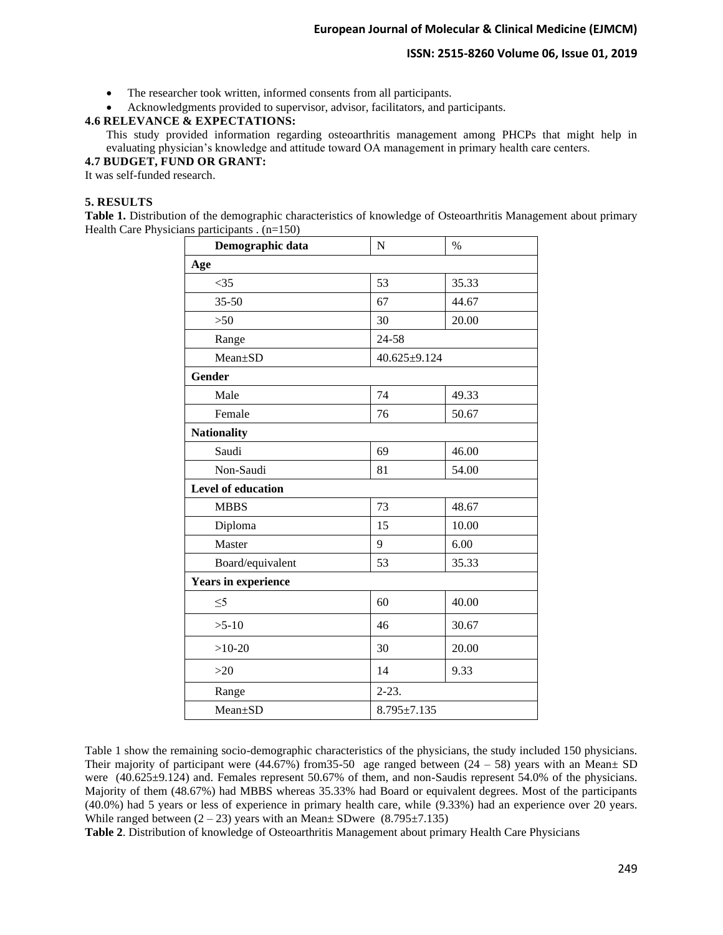#### **ISSN: 2515-8260 Volume 06, Issue 01, 2019**

- The researcher took written, informed consents from all participants.
- Acknowledgments provided to supervisor, advisor, facilitators, and participants.

## **4.6 RELEVANCE & EXPECTATIONS:**

This study provided information regarding osteoarthritis management among PHCPs that might help in evaluating physician's knowledge and attitude toward OA management in primary health care centers.

## **4.7 BUDGET, FUND OR GRANT:**

It was self-funded research.

#### **5. RESULTS**

**Table 1.** Distribution of the demographic characteristics of knowledge of Osteoarthritis Management about primary Health Care Physicians participants . (n=150)

| Demographic data           | $\mathbf N$       | $\%$               |  |  |
|----------------------------|-------------------|--------------------|--|--|
| Age                        |                   |                    |  |  |
| $<$ 35                     | 53                | 35.33              |  |  |
| $35 - 50$                  | 67                | 44.67              |  |  |
| $>50$                      | 30                | 20.00              |  |  |
| Range                      | $24 - 58$         |                    |  |  |
| Mean±SD                    |                   | $40.625 \pm 9.124$ |  |  |
| Gender                     |                   |                    |  |  |
| Male                       | 74                | 49.33              |  |  |
| Female                     | 76                | 50.67              |  |  |
| <b>Nationality</b>         |                   |                    |  |  |
| Saudi                      | 69                | 46.00              |  |  |
| Non-Saudi                  | 81                | 54.00              |  |  |
| <b>Level of education</b>  |                   |                    |  |  |
| <b>MBBS</b>                | 73                | 48.67              |  |  |
| Diploma                    | 15                | 10.00              |  |  |
| Master                     | 9                 | 6.00               |  |  |
| Board/equivalent           | 53                | 35.33              |  |  |
| <b>Years in experience</b> |                   |                    |  |  |
| $\leq 5$                   | 60                | 40.00              |  |  |
| $>5-10$                    | 46                | 30.67              |  |  |
| $>10-20$                   | 30                | 20.00              |  |  |
| $>20$                      | 14                | 9.33               |  |  |
| Range                      | $2 - 23$ .        |                    |  |  |
| Mean±SD                    | $8.795 \pm 7.135$ |                    |  |  |

Table 1 show the remaining socio-demographic characteristics of the physicians, the study included 150 physicians. Their majority of participant were (44.67%) from 35-50 age ranged between  $(24 – 58)$  years with an Mean $\pm$  SD were (40.625±9.124) and. Females represent 50.67% of them, and non-Saudis represent 54.0% of the physicians. Majority of them (48.67%) had MBBS whereas 35.33% had Board or equivalent degrees. Most of the participants (40.0%) had 5 years or less of experience in primary health care, while (9.33%) had an experience over 20 years. While ranged between  $(2 - 23)$  years with an Mean $\pm$  SDwere  $(8.795 \pm 7.135)$ 

**Table 2**. Distribution of knowledge of Osteoarthritis Management about primary Health Care Physicians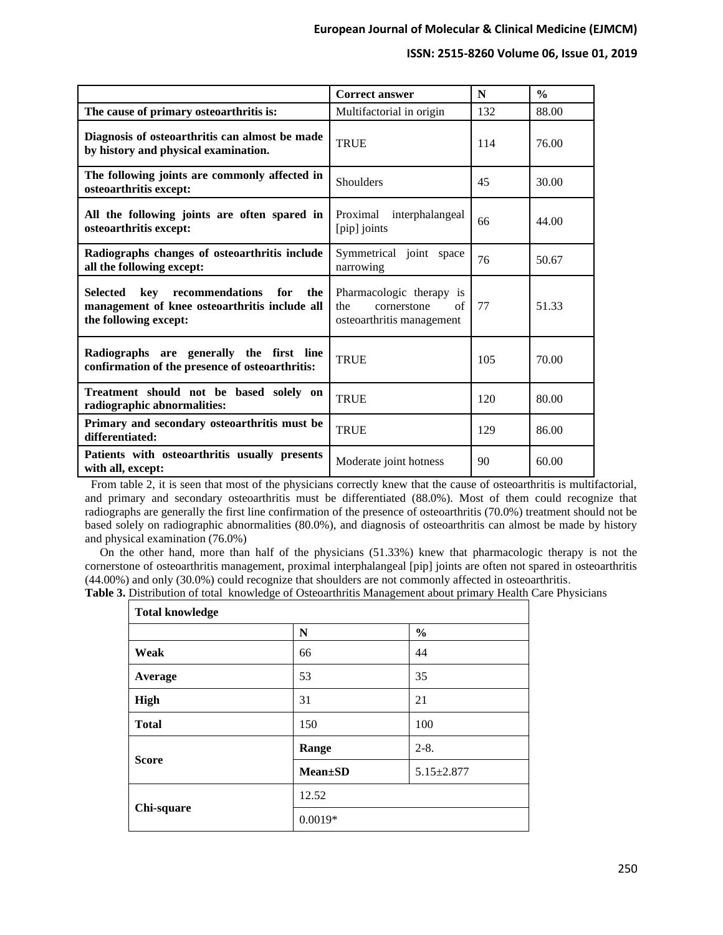#### **ISSN: 2515-8260 Volume 06, Issue 01, 2019**

|                                                                                                                                   | <b>Correct answer</b>                                                             | N   | $\frac{0}{0}$ |
|-----------------------------------------------------------------------------------------------------------------------------------|-----------------------------------------------------------------------------------|-----|---------------|
| The cause of primary osteoarthritis is:                                                                                           | Multifactorial in origin                                                          | 132 | 88.00         |
| Diagnosis of osteoarthritis can almost be made<br>by history and physical examination.                                            | <b>TRUE</b>                                                                       | 114 | 76.00         |
| The following joints are commonly affected in<br>osteoarthritis except:                                                           | Shoulders                                                                         | 45  | 30.00         |
| All the following joints are often spared in<br>osteoarthritis except:                                                            | Proximal interphalangeal<br>[pip] joints                                          | 66  | 44.00         |
| Radiographs changes of osteoarthritis include<br>all the following except:                                                        | Symmetrical joint space<br>narrowing                                              | 76  | 50.67         |
| <b>Selected</b><br>kev<br>recommendations<br>for<br>the<br>management of knee osteoarthritis include all<br>the following except: | Pharmacologic therapy is<br>the<br>cornerstone<br>of<br>osteoarthritis management | 77  | 51.33         |
| Radiographs are generally the first line<br>confirmation of the presence of osteoarthritis:                                       | <b>TRUE</b>                                                                       | 105 | 70.00         |
| Treatment should not be based solely on<br>radiographic abnormalities:                                                            | <b>TRUE</b>                                                                       | 120 | 80.00         |
| Primary and secondary osteoarthritis must be<br>differentiated:                                                                   | <b>TRUE</b>                                                                       | 129 | 86.00         |
| Patients with osteoarthritis usually presents<br>with all, except:                                                                | Moderate joint hotness                                                            | 90  | 60.00         |

 From table 2, it is seen that most of the physicians correctly knew that the cause of osteoarthritis is multifactorial, and primary and secondary osteoarthritis must be differentiated (88.0%). Most of them could recognize that radiographs are generally the first line confirmation of the presence of osteoarthritis (70.0%) treatment should not be based solely on radiographic abnormalities (80.0%), and diagnosis of osteoarthritis can almost be made by history and physical examination (76.0%)

 On the other hand, more than half of the physicians (51.33%) knew that pharmacologic therapy is not the cornerstone of osteoarthritis management, proximal interphalangeal [pip] joints are often not spared in osteoarthritis (44.00%) and only (30.0%) could recognize that shoulders are not commonly affected in osteoarthritis.

**Table 3.** Distribution of total knowledge of Osteoarthritis Management about primary Health Care Physicians

| <b>Total knowledge</b> |                 |                  |  |  |
|------------------------|-----------------|------------------|--|--|
|                        | N               | $\frac{0}{0}$    |  |  |
| Weak                   | 66              | 44               |  |  |
| Average                | 53              | 35               |  |  |
| <b>High</b>            | 31              | 21               |  |  |
| <b>Total</b>           | 150             | 100              |  |  |
| <b>Score</b>           | Range           | $2 - 8$ .        |  |  |
|                        | <b>Mean</b> ±SD | $5.15 \pm 2.877$ |  |  |
| Chi-square             | 12.52           |                  |  |  |
|                        | $0.0019*$       |                  |  |  |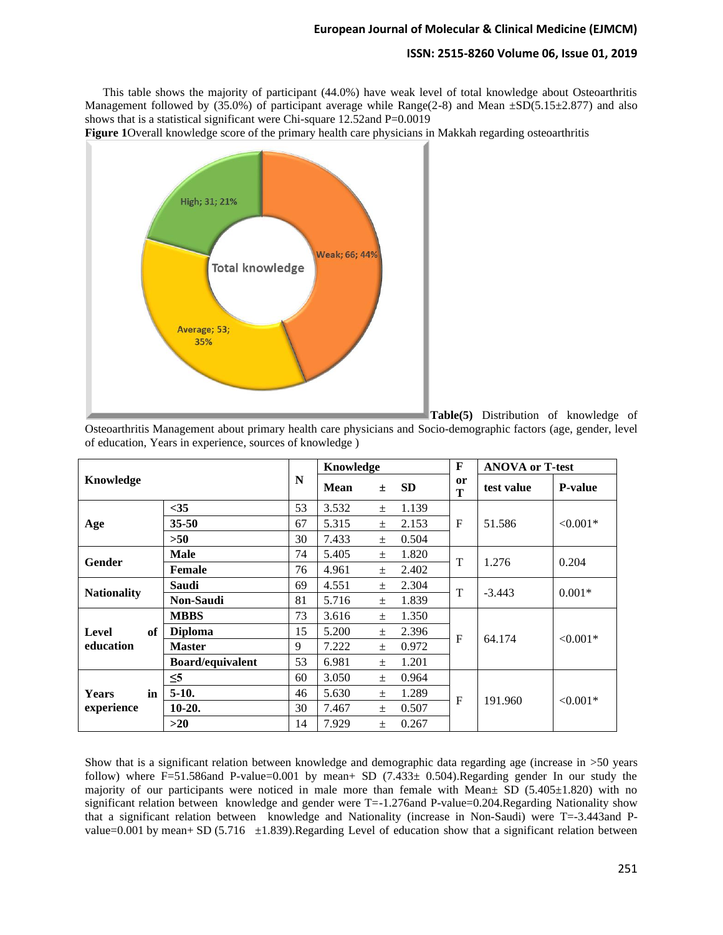#### **ISSN: 2515-8260 Volume 06, Issue 01, 2019**

 This table shows the majority of participant (44.0%) have weak level of total knowledge about Osteoarthritis Management followed by (35.0%) of participant average while Range(2-8) and Mean  $\pm SD(5.15\pm 2.877)$  and also shows that is a statistical significant were Chi-square 12.52and P=0.0019

**Figure 1**Overall knowledge score of the primary health care physicians in Makkah regarding osteoarthritis



**Table(5)** Distribution of knowledge of

Osteoarthritis Management about primary health care physicians and Socio-demographic factors (age, gender, level of education, Years in experience, sources of knowledge )

| Knowledge                        |                         | N  | Knowledge   |       |           | F       | <b>ANOVA or T-test</b> |                |
|----------------------------------|-------------------------|----|-------------|-------|-----------|---------|------------------------|----------------|
|                                  |                         |    | <b>Mean</b> | $\pm$ | <b>SD</b> | or<br>T | test value             | <b>P-value</b> |
| Age                              | $35$                    | 53 | 3.532       | $\pm$ | 1.139     | F       | 51.586                 | $< 0.001*$     |
|                                  | $35 - 50$               | 67 | 5.315       | $+$   | 2.153     |         |                        |                |
|                                  | >50                     | 30 | 7.433       | $\pm$ | 0.504     |         |                        |                |
| <b>Gender</b>                    | <b>Male</b>             | 74 | 5.405       | $\pm$ | 1.820     | T       | 1.276                  | 0.204          |
|                                  | <b>Female</b>           | 76 | 4.961       | $\pm$ | 2.402     |         |                        |                |
| <b>Nationality</b>               | Saudi                   | 69 | 4.551       | $\pm$ | 2.304     | T       | $-3.443$               | $0.001*$       |
|                                  | <b>Non-Saudi</b>        | 81 | 5.716       | $\pm$ | 1.839     |         |                        |                |
| <b>Level</b><br>of<br>education  | <b>MBBS</b>             | 73 | 3.616       | $\pm$ | 1.350     | F       | 64.174                 | $< 0.001*$     |
|                                  | <b>Diploma</b>          | 15 | 5.200       | $\pm$ | 2.396     |         |                        |                |
|                                  | <b>Master</b>           | 9  | 7.222       | $\pm$ | 0.972     |         |                        |                |
|                                  | <b>Board/equivalent</b> | 53 | 6.981       | $\pm$ | 1.201     |         |                        |                |
| <b>Years</b><br>in<br>experience | $\leq 5$                | 60 | 3.050       | $\pm$ | 0.964     | F       | 191.960                | $< 0.001*$     |
|                                  | $5-10.$                 | 46 | 5.630       | $+$   | 1.289     |         |                        |                |
|                                  | $10-20.$                | 30 | 7.467       | $\pm$ | 0.507     |         |                        |                |
|                                  | $>20$                   | 14 | 7.929       | $+$   | 0.267     |         |                        |                |

Show that is a significant relation between knowledge and demographic data regarding age (increase in >50 years follow) where F=51.586and P-value=0.001 by mean+ SD  $(7.433\pm 0.504)$ .Regarding gender In our study the majority of our participants were noticed in male more than female with Mean $\pm$  SD (5.405 $\pm$ 1.820) with no significant relation between knowledge and gender were  $T=-1.276$  and P-value=0.204.Regarding Nationality show that a significant relation between knowledge and Nationality (increase in Non-Saudi) were T=-3.443and Pvalue=0.001 by mean+ SD (5.716  $\pm$ 1.839).Regarding Level of education show that a significant relation between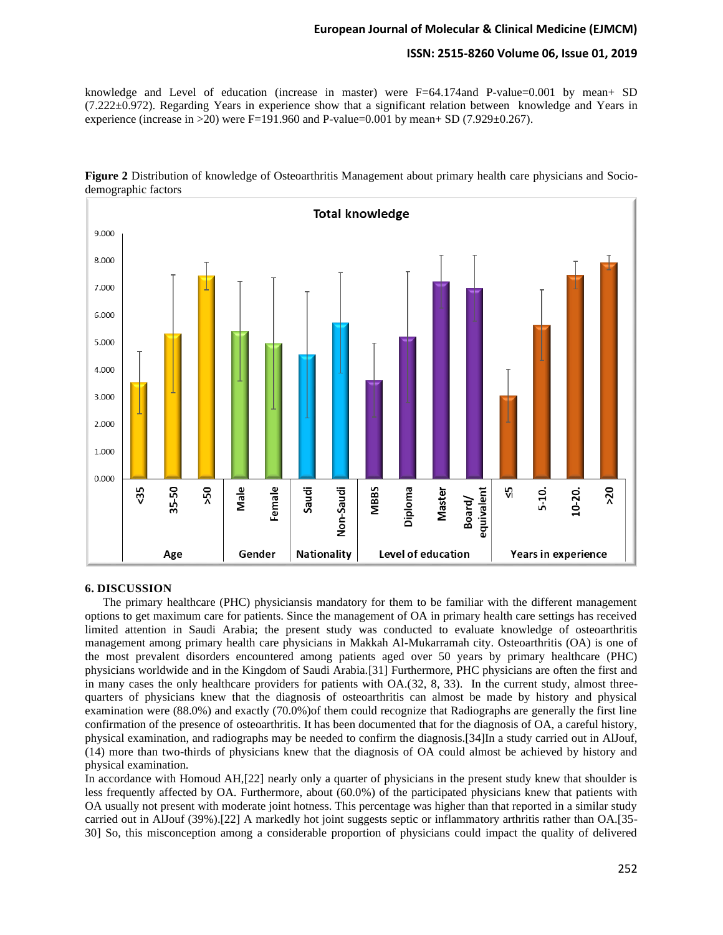## **ISSN: 2515-8260 Volume 06, Issue 01, 2019**

knowledge and Level of education (increase in master) were F=64.174and P-value=0.001 by mean+ SD (7.222±0.972). Regarding Years in experience show that a significant relation between knowledge and Years in experience (increase in  $>20$ ) were F=191.960 and P-value=0.001 by mean+ SD (7.929 $\pm$ 0.267).



**Figure 2** Distribution of knowledge of Osteoarthritis Management about primary health care physicians and Sociodemographic factors

#### **6. DISCUSSION**

 The primary healthcare (PHC) physiciansis mandatory for them to be familiar with the different management options to get maximum care for patients. Since the management of OA in primary health care settings has received limited attention in Saudi Arabia; the present study was conducted to evaluate knowledge of osteoarthritis management among primary health care physicians in Makkah Al-Mukarramah city. Osteoarthritis (OA) is one of the most prevalent disorders encountered among patients aged over 50 years by primary healthcare (PHC) physicians worldwide and in the Kingdom of Saudi Arabia.[31] Furthermore, PHC physicians are often the first and in many cases the only healthcare providers for patients with OA.(32, 8, 33). In the current study, almost threequarters of physicians knew that the diagnosis of osteoarthritis can almost be made by history and physical examination were (88.0%) and exactly (70.0%)of them could recognize that Radiographs are generally the first line confirmation of the presence of osteoarthritis. It has been documented that for the diagnosis of OA, a careful history, physical examination, and radiographs may be needed to confirm the diagnosis.[34]In a study carried out in AlJouf, (14) more than two-thirds of physicians knew that the diagnosis of OA could almost be achieved by history and physical examination.

In accordance with Homoud AH,[22] nearly only a quarter of physicians in the present study knew that shoulder is less frequently affected by OA. Furthermore, about (60.0%) of the participated physicians knew that patients with OA usually not present with moderate joint hotness. This percentage was higher than that reported in a similar study carried out in AlJouf (39%).[22] A markedly hot joint suggests septic or inflammatory arthritis rather than OA.[35- 30] So, this misconception among a considerable proportion of physicians could impact the quality of delivered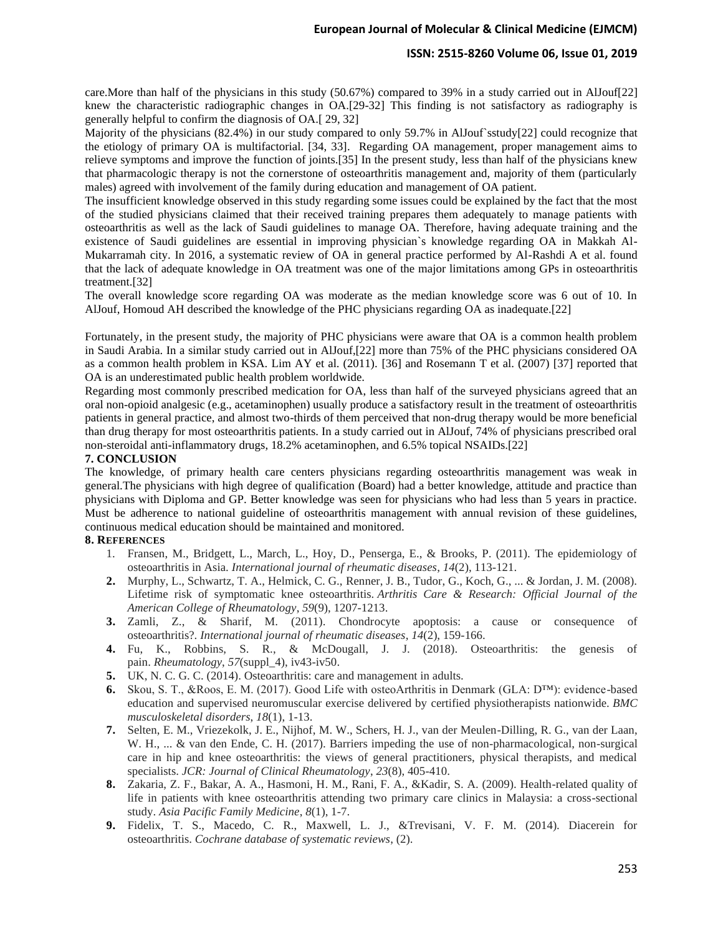#### **ISSN: 2515-8260 Volume 06, Issue 01, 2019**

care.More than half of the physicians in this study (50.67%) compared to 39% in a study carried out in AlJouf[22] knew the characteristic radiographic changes in OA.[29-32] This finding is not satisfactory as radiography is generally helpful to confirm the diagnosis of OA.[ 29, 32]

Majority of the physicians (82.4%) in our study compared to only 59.7% in AlJouf`sstudy[22] could recognize that the etiology of primary OA is multifactorial. [34, 33]. Regarding OA management, proper management aims to relieve symptoms and improve the function of joints.[35] In the present study, less than half of the physicians knew that pharmacologic therapy is not the cornerstone of osteoarthritis management and, majority of them (particularly males) agreed with involvement of the family during education and management of OA patient.

The insufficient knowledge observed in this study regarding some issues could be explained by the fact that the most of the studied physicians claimed that their received training prepares them adequately to manage patients with osteoarthritis as well as the lack of Saudi guidelines to manage OA. Therefore, having adequate training and the existence of Saudi guidelines are essential in improving physician`s knowledge regarding OA in Makkah Al-Mukarramah city. In 2016, a systematic review of OA in general practice performed by Al-Rashdi A et al. found that the lack of adequate knowledge in OA treatment was one of the major limitations among GPs in osteoarthritis treatment.[32]

The overall knowledge score regarding OA was moderate as the median knowledge score was 6 out of 10. In AlJouf, Homoud AH described the knowledge of the PHC physicians regarding OA as inadequate.[22]

Fortunately, in the present study, the majority of PHC physicians were aware that OA is a common health problem in Saudi Arabia. In a similar study carried out in AlJouf,[22] more than 75% of the PHC physicians considered OA as a common health problem in KSA. Lim AY et al. (2011). [36] and Rosemann T et al. (2007) [37] reported that OA is an underestimated public health problem worldwide.

Regarding most commonly prescribed medication for OA, less than half of the surveyed physicians agreed that an oral non-opioid analgesic (e.g., acetaminophen) usually produce a satisfactory result in the treatment of osteoarthritis patients in general practice, and almost two-thirds of them perceived that non-drug therapy would be more beneficial than drug therapy for most osteoarthritis patients. In a study carried out in AlJouf, 74% of physicians prescribed oral non-steroidal anti-inflammatory drugs, 18.2% acetaminophen, and 6.5% topical NSAIDs.[22]

#### **7. CONCLUSION**

The knowledge, of primary health care centers physicians regarding osteoarthritis management was weak in general.The physicians with high degree of qualification (Board) had a better knowledge, attitude and practice than physicians with Diploma and GP. Better knowledge was seen for physicians who had less than 5 years in practice. Must be adherence to national guideline of osteoarthritis management with annual revision of these guidelines, continuous medical education should be maintained and monitored.

#### **8. REFERENCES**

- 1. Fransen, M., Bridgett, L., March, L., Hoy, D., Penserga, E., & Brooks, P. (2011). The epidemiology of osteoarthritis in Asia. *International journal of rheumatic diseases*, *14*(2), 113-121.
- **2.** Murphy, L., Schwartz, T. A., Helmick, C. G., Renner, J. B., Tudor, G., Koch, G., ... & Jordan, J. M. (2008). Lifetime risk of symptomatic knee osteoarthritis. *Arthritis Care & Research: Official Journal of the American College of Rheumatology*, *59*(9), 1207-1213.
- **3.** Zamli, Z., & Sharif, M. (2011). Chondrocyte apoptosis: a cause or consequence of osteoarthritis?. *International journal of rheumatic diseases*, *14*(2), 159-166.
- **4.** Fu, K., Robbins, S. R., & McDougall, J. J. (2018). Osteoarthritis: the genesis of pain. *Rheumatology*, *57*(suppl\_4), iv43-iv50.
- **5.** UK, N. C. G. C. (2014). Osteoarthritis: care and management in adults.
- **6.** Skou, S. T., &Roos, E. M. (2017). Good Life with osteoArthritis in Denmark (GLA: D™): evidence-based education and supervised neuromuscular exercise delivered by certified physiotherapists nationwide. *BMC musculoskeletal disorders*, *18*(1), 1-13.
- **7.** Selten, E. M., Vriezekolk, J. E., Nijhof, M. W., Schers, H. J., van der Meulen-Dilling, R. G., van der Laan, W. H., ... & van den Ende, C. H. (2017). Barriers impeding the use of non-pharmacological, non-surgical care in hip and knee osteoarthritis: the views of general practitioners, physical therapists, and medical specialists. *JCR: Journal of Clinical Rheumatology*, *23*(8), 405-410.
- **8.** Zakaria, Z. F., Bakar, A. A., Hasmoni, H. M., Rani, F. A., &Kadir, S. A. (2009). Health-related quality of life in patients with knee osteoarthritis attending two primary care clinics in Malaysia: a cross-sectional study. *Asia Pacific Family Medicine*, *8*(1), 1-7.
- **9.** Fidelix, T. S., Macedo, C. R., Maxwell, L. J., &Trevisani, V. F. M. (2014). Diacerein for osteoarthritis. *Cochrane database of systematic reviews*, (2).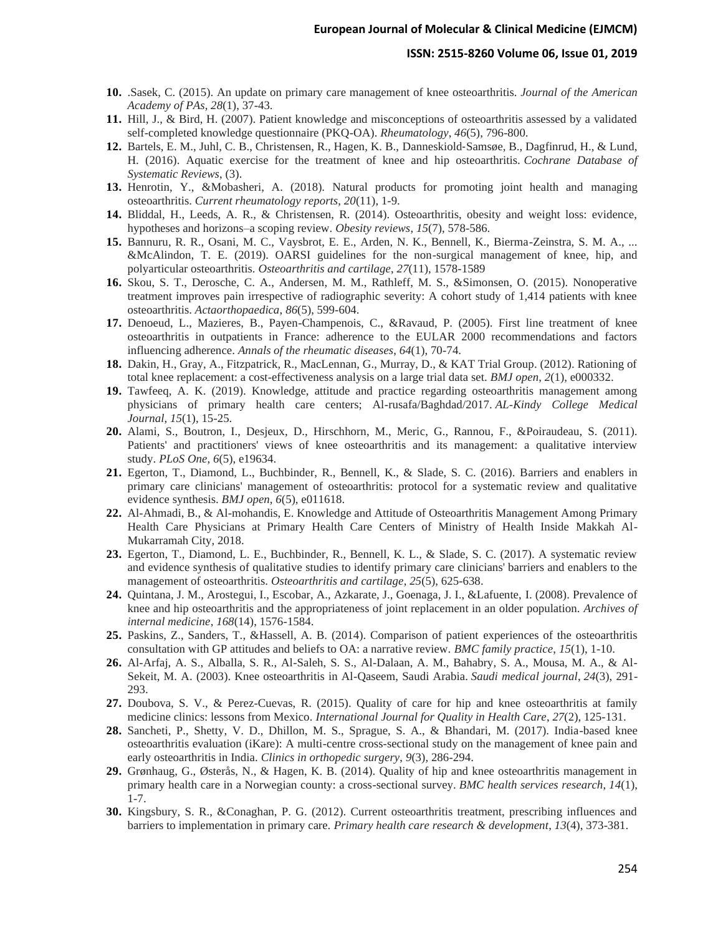#### **ISSN: 2515-8260 Volume 06, Issue 01, 2019**

- **10.** .Sasek, C. (2015). An update on primary care management of knee osteoarthritis. *Journal of the American Academy of PAs*, *28*(1), 37-43.
- **11.** Hill, J., & Bird, H. (2007). Patient knowledge and misconceptions of osteoarthritis assessed by a validated self-completed knowledge questionnaire (PKQ-OA). *Rheumatology*, *46*(5), 796-800.
- **12.** Bartels, E. M., Juhl, C. B., Christensen, R., Hagen, K. B., Danneskiold‐Samsøe, B., Dagfinrud, H., & Lund, H. (2016). Aquatic exercise for the treatment of knee and hip osteoarthritis. *Cochrane Database of Systematic Reviews*, (3).
- **13.** Henrotin, Y., &Mobasheri, A. (2018). Natural products for promoting joint health and managing osteoarthritis. *Current rheumatology reports*, *20*(11), 1-9.
- **14.** Bliddal, H., Leeds, A. R., & Christensen, R. (2014). Osteoarthritis, obesity and weight loss: evidence, hypotheses and horizons–a scoping review. *Obesity reviews*, *15*(7), 578-586.
- **15.** Bannuru, R. R., Osani, M. C., Vaysbrot, E. E., Arden, N. K., Bennell, K., Bierma-Zeinstra, S. M. A., ... &McAlindon, T. E. (2019). OARSI guidelines for the non-surgical management of knee, hip, and polyarticular osteoarthritis. *Osteoarthritis and cartilage*, *27*(11), 1578-1589
- **16.** Skou, S. T., Derosche, C. A., Andersen, M. M., Rathleff, M. S., &Simonsen, O. (2015). Nonoperative treatment improves pain irrespective of radiographic severity: A cohort study of 1,414 patients with knee osteoarthritis. *Actaorthopaedica*, *86*(5), 599-604.
- **17.** Denoeud, L., Mazieres, B., Payen-Champenois, C., &Ravaud, P. (2005). First line treatment of knee osteoarthritis in outpatients in France: adherence to the EULAR 2000 recommendations and factors influencing adherence. *Annals of the rheumatic diseases*, *64*(1), 70-74.
- **18.** Dakin, H., Gray, A., Fitzpatrick, R., MacLennan, G., Murray, D., & KAT Trial Group. (2012). Rationing of total knee replacement: a cost-effectiveness analysis on a large trial data set. *BMJ open*, *2*(1), e000332.
- **19.** Tawfeeq, A. K. (2019). Knowledge, attitude and practice regarding osteoarthritis management among physicians of primary health care centers; Al-rusafa/Baghdad/2017. *AL-Kindy College Medical Journal*, *15*(1), 15-25.
- **20.** Alami, S., Boutron, I., Desjeux, D., Hirschhorn, M., Meric, G., Rannou, F., &Poiraudeau, S. (2011). Patients' and practitioners' views of knee osteoarthritis and its management: a qualitative interview study. *PLoS One*, *6*(5), e19634.
- **21.** Egerton, T., Diamond, L., Buchbinder, R., Bennell, K., & Slade, S. C. (2016). Barriers and enablers in primary care clinicians' management of osteoarthritis: protocol for a systematic review and qualitative evidence synthesis. *BMJ open*, *6*(5), e011618.
- **22.** Al-Ahmadi, B., & Al-mohandis, E. Knowledge and Attitude of Osteoarthritis Management Among Primary Health Care Physicians at Primary Health Care Centers of Ministry of Health Inside Makkah Al-Mukarramah City, 2018.
- **23.** Egerton, T., Diamond, L. E., Buchbinder, R., Bennell, K. L., & Slade, S. C. (2017). A systematic review and evidence synthesis of qualitative studies to identify primary care clinicians' barriers and enablers to the management of osteoarthritis. *Osteoarthritis and cartilage*, *25*(5), 625-638.
- **24.** Quintana, J. M., Arostegui, I., Escobar, A., Azkarate, J., Goenaga, J. I., &Lafuente, I. (2008). Prevalence of knee and hip osteoarthritis and the appropriateness of joint replacement in an older population. *Archives of internal medicine*, *168*(14), 1576-1584.
- **25.** Paskins, Z., Sanders, T., &Hassell, A. B. (2014). Comparison of patient experiences of the osteoarthritis consultation with GP attitudes and beliefs to OA: a narrative review. *BMC family practice*, *15*(1), 1-10.
- **26.** Al-Arfaj, A. S., Alballa, S. R., Al-Saleh, S. S., Al-Dalaan, A. M., Bahabry, S. A., Mousa, M. A., & Al-Sekeit, M. A. (2003). Knee osteoarthritis in Al-Qaseem, Saudi Arabia. *Saudi medical journal*, *24*(3), 291- 293.
- **27.** Doubova, S. V., & Perez-Cuevas, R. (2015). Quality of care for hip and knee osteoarthritis at family medicine clinics: lessons from Mexico. *International Journal for Quality in Health Care*, *27*(2), 125-131.
- **28.** Sancheti, P., Shetty, V. D., Dhillon, M. S., Sprague, S. A., & Bhandari, M. (2017). India-based knee osteoarthritis evaluation (iKare): A multi-centre cross-sectional study on the management of knee pain and early osteoarthritis in India. *Clinics in orthopedic surgery*, *9*(3), 286-294.
- **29.** Grønhaug, G., Østerås, N., & Hagen, K. B. (2014). Quality of hip and knee osteoarthritis management in primary health care in a Norwegian county: a cross-sectional survey. *BMC health services research*, *14*(1), 1-7.
- **30.** Kingsbury, S. R., &Conaghan, P. G. (2012). Current osteoarthritis treatment, prescribing influences and barriers to implementation in primary care. *Primary health care research & development*, *13*(4), 373-381.